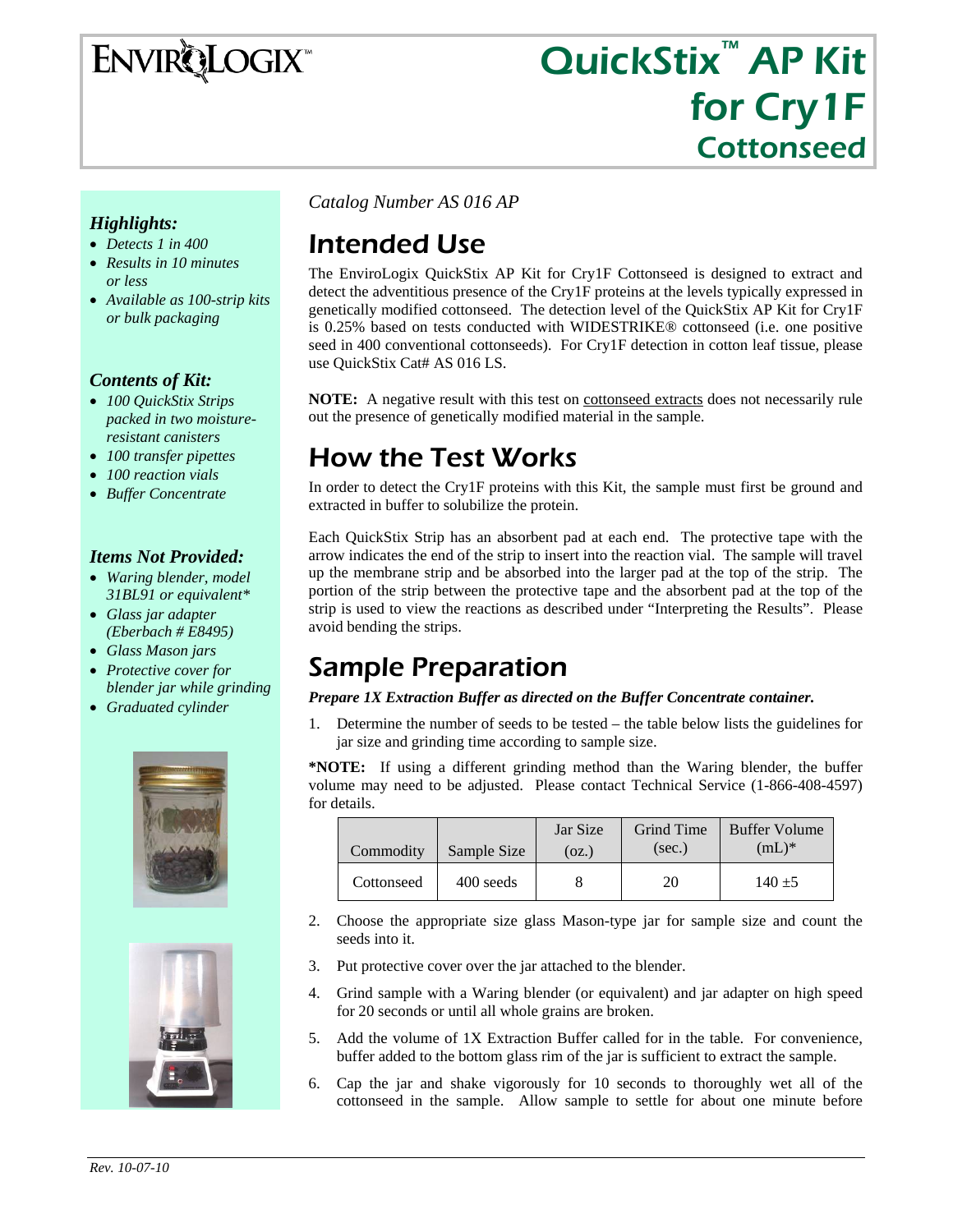**ENVIRQLOGIX** 

# QuickStix<sup>™</sup> AP Kit for Cry1F Cottonseed

#### *Highlights:*

- *Detects 1 in 400*
- *Results in 10 minutes or less*
- *Available as 100-strip kits or bulk packaging*

#### *Contents of Kit:*

- *100 QuickStix Strips packed in two moistureresistant canisters*
- *100 transfer pipettes*
- *100 reaction vials*
- *Buffer Concentrate*

#### *Items Not Provided:*

- *Waring blender, model 31BL91 or equivalent\**
- *Glass jar adapter (Eberbach # E8495)*
- *Glass Mason jars*
- *Protective cover for blender jar while grinding*
- *Graduated cylinder*





*Catalog Number AS 016 AP* 

# Intended Use

The EnviroLogix QuickStix AP Kit for Cry1F Cottonseed is designed to extract and detect the adventitious presence of the Cry1F proteins at the levels typically expressed in genetically modified cottonseed. The detection level of the QuickStix AP Kit for Cry1F is 0.25% based on tests conducted with WIDESTRIKE® cottonseed (i.e. one positive seed in 400 conventional cottonseeds). For Cry1F detection in cotton leaf tissue, please use QuickStix Cat# AS 016 LS.

**NOTE:** A negative result with this test on **cottonseed** extracts does not necessarily rule out the presence of genetically modified material in the sample.

### How the Test Works

In order to detect the Cry1F proteins with this Kit, the sample must first be ground and extracted in buffer to solubilize the protein.

Each QuickStix Strip has an absorbent pad at each end. The protective tape with the arrow indicates the end of the strip to insert into the reaction vial. The sample will travel up the membrane strip and be absorbed into the larger pad at the top of the strip. The portion of the strip between the protective tape and the absorbent pad at the top of the strip is used to view the reactions as described under "Interpreting the Results". Please avoid bending the strips.

### Sample Preparation

#### *Prepare 1X Extraction Buffer as directed on the Buffer Concentrate container.*

1. Determine the number of seeds to be tested – the table below lists the guidelines for jar size and grinding time according to sample size.

**\*NOTE:** If using a different grinding method than the Waring blender, the buffer volume may need to be adjusted. Please contact Technical Service (1-866-408-4597) for details.

| Commodity  | Sample Size | Jar Size<br>(oz.) | Grind Time<br>(sec.) | <b>Buffer Volume</b><br>$(mL)^*$ |
|------------|-------------|-------------------|----------------------|----------------------------------|
| Cottonseed | 400 seeds   |                   | 20                   | $140 + 5$                        |

- 2. Choose the appropriate size glass Mason-type jar for sample size and count the seeds into it.
- 3. Put protective cover over the jar attached to the blender.
- 4. Grind sample with a Waring blender (or equivalent) and jar adapter on high speed for 20 seconds or until all whole grains are broken.
- 5. Add the volume of 1X Extraction Buffer called for in the table. For convenience, buffer added to the bottom glass rim of the jar is sufficient to extract the sample.
- 6. Cap the jar and shake vigorously for 10 seconds to thoroughly wet all of the cottonseed in the sample. Allow sample to settle for about one minute before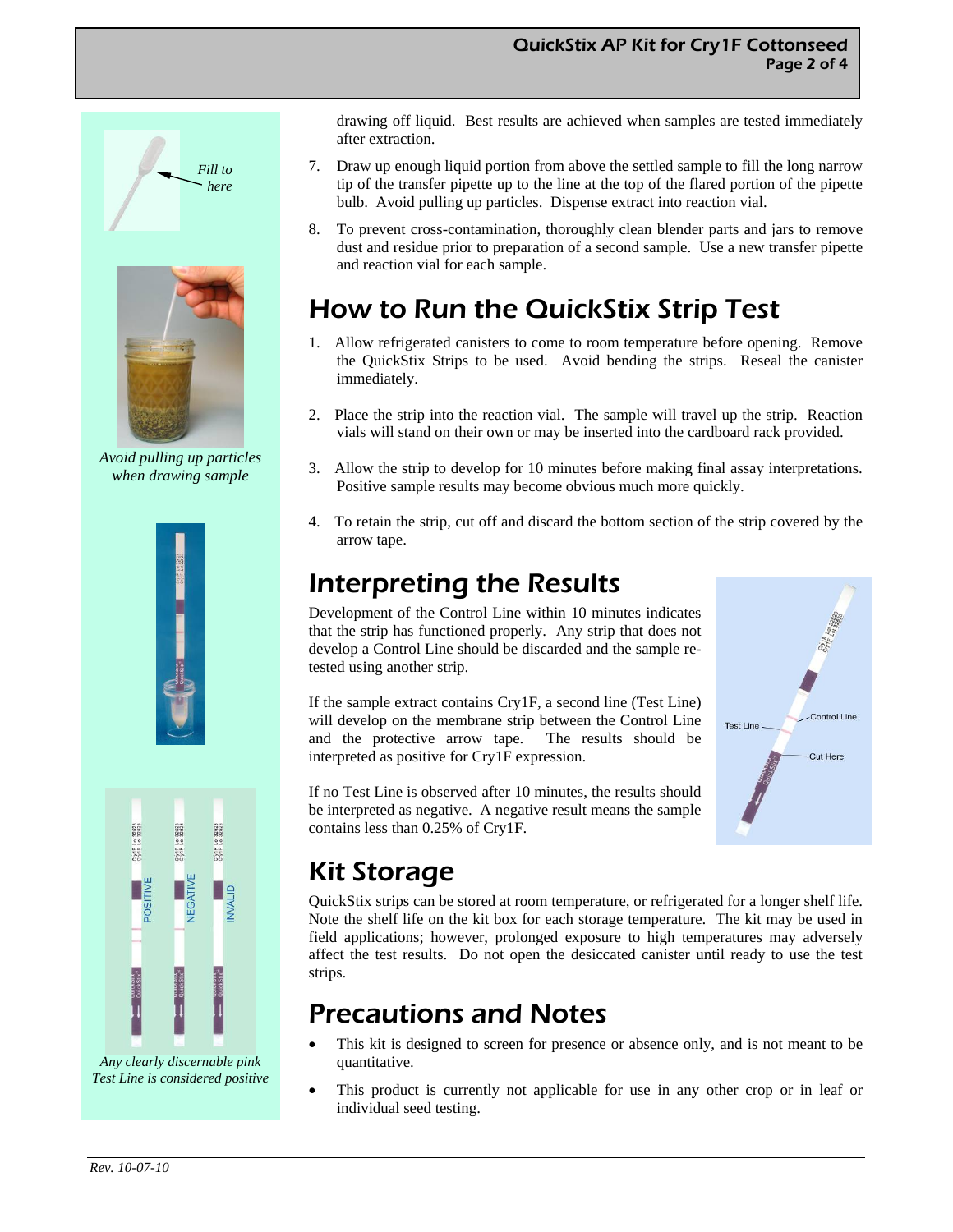



*Avoid pulling up particles when drawing sample* 



Contra Lot 32823 FOTE LOC32523 posi

*Any clearly discernable pink Test Line is considered positive*  drawing off liquid. Best results are achieved when samples are tested immediately after extraction.

- 7. Draw up enough liquid portion from above the settled sample to fill the long narrow tip of the transfer pipette up to the line at the top of the flared portion of the pipette bulb. Avoid pulling up particles. Dispense extract into reaction vial.
- 8. To prevent cross-contamination, thoroughly clean blender parts and jars to remove dust and residue prior to preparation of a second sample. Use a new transfer pipette and reaction vial for each sample.

### How to Run the QuickStix Strip Test

- 1. Allow refrigerated canisters to come to room temperature before opening. Remove the QuickStix Strips to be used. Avoid bending the strips. Reseal the canister immediately.
- 2. Place the strip into the reaction vial. The sample will travel up the strip. Reaction vials will stand on their own or may be inserted into the cardboard rack provided.
- 3. Allow the strip to develop for 10 minutes before making final assay interpretations. Positive sample results may become obvious much more quickly.
- 4. To retain the strip, cut off and discard the bottom section of the strip covered by the arrow tape.

# Interpreting the Results

Development of the Control Line within 10 minutes indicates that the strip has functioned properly. Any strip that does not develop a Control Line should be discarded and the sample retested using another strip.

If the sample extract contains Cry1F, a second line (Test Line) will develop on the membrane strip between the Control Line and the protective arrow tape. The results should be interpreted as positive for Cry1F expression.

If no Test Line is observed after 10 minutes, the results should be interpreted as negative. A negative result means the sample contains less than 0.25% of Cry1F.



# Kit Storage

QuickStix strips can be stored at room temperature, or refrigerated for a longer shelf life. Note the shelf life on the kit box for each storage temperature. The kit may be used in field applications; however, prolonged exposure to high temperatures may adversely affect the test results. Do not open the desiccated canister until ready to use the test strips.

### Precautions and Notes

- This kit is designed to screen for presence or absence only, and is not meant to be quantitative.
- This product is currently not applicable for use in any other crop or in leaf or individual seed testing.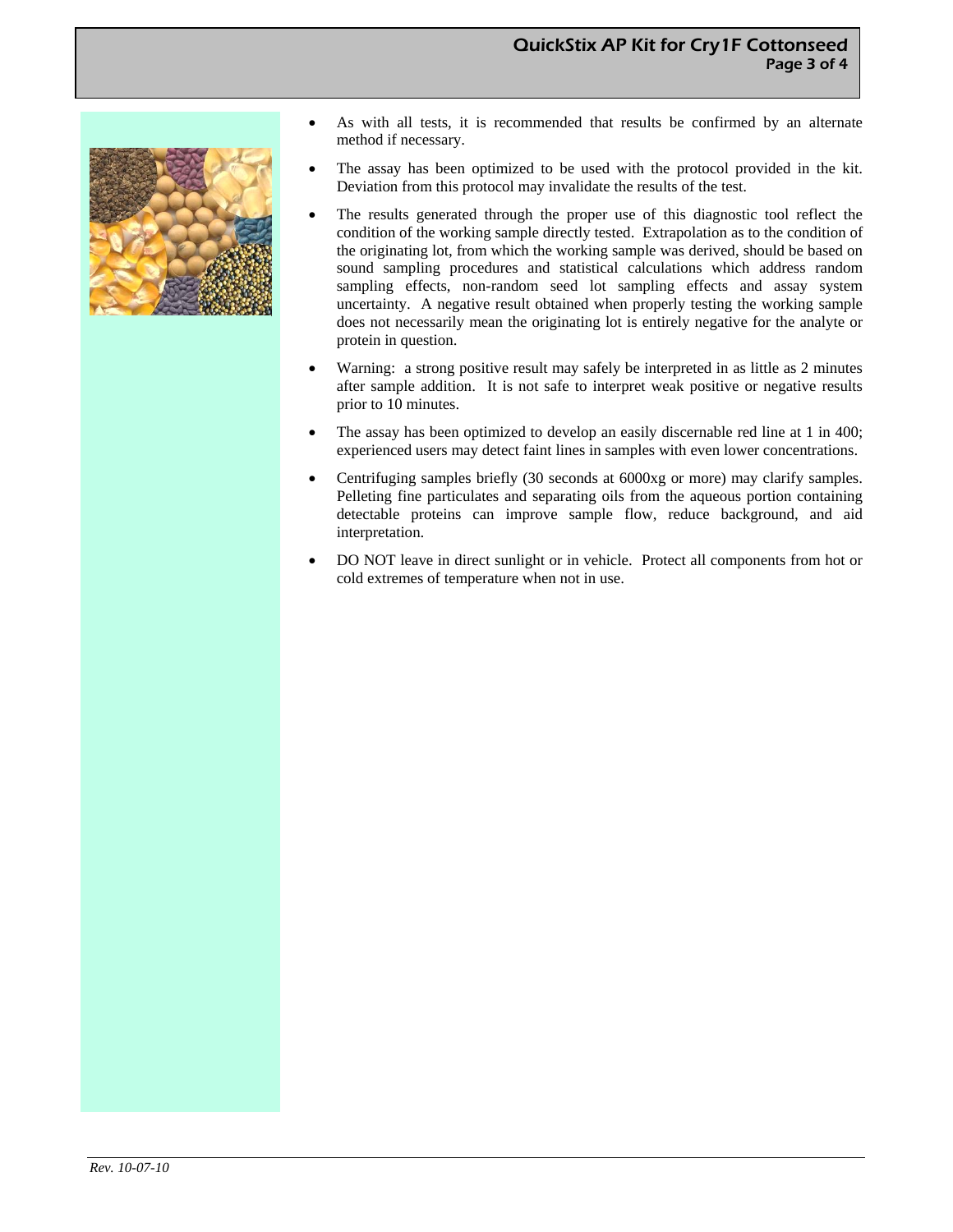#### QuickStix AP Kit for Cry1F Cottonseed Page 3 of 4



- As with all tests, it is recommended that results be confirmed by an alternate method if necessary.
- The assay has been optimized to be used with the protocol provided in the kit. Deviation from this protocol may invalidate the results of the test.
- The results generated through the proper use of this diagnostic tool reflect the condition of the working sample directly tested. Extrapolation as to the condition of the originating lot, from which the working sample was derived, should be based on sound sampling procedures and statistical calculations which address random sampling effects, non-random seed lot sampling effects and assay system uncertainty. A negative result obtained when properly testing the working sample does not necessarily mean the originating lot is entirely negative for the analyte or protein in question.
- Warning: a strong positive result may safely be interpreted in as little as 2 minutes after sample addition. It is not safe to interpret weak positive or negative results prior to 10 minutes.
- The assay has been optimized to develop an easily discernable red line at 1 in 400; experienced users may detect faint lines in samples with even lower concentrations.
- Centrifuging samples briefly (30 seconds at 6000xg or more) may clarify samples. Pelleting fine particulates and separating oils from the aqueous portion containing detectable proteins can improve sample flow, reduce background, and aid interpretation.
- DO NOT leave in direct sunlight or in vehicle. Protect all components from hot or cold extremes of temperature when not in use.